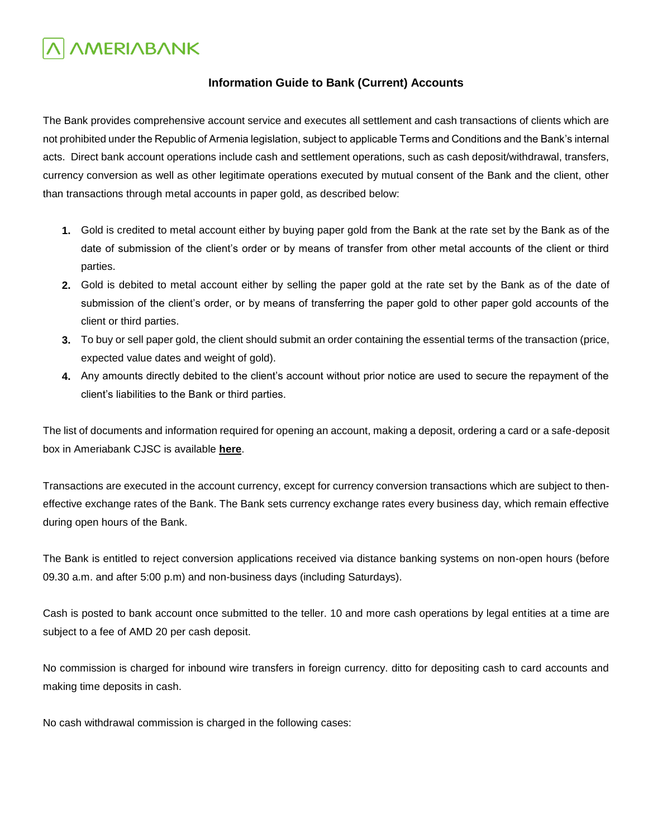### **Information Guide to Bank (Current) Accounts**

The Bank provides comprehensive account service and executes all settlement and cash transactions of clients which are not prohibited under the Republic of Armenia legislation, subject to applicable Terms and Conditions and the Bank's internal acts. Direct bank account operations include cash and settlement operations, such as cash deposit/withdrawal, transfers, currency conversion as well as other legitimate operations executed by mutual consent of the Bank and the client, other than transactions through metal accounts in paper gold, as described below:

- **1.** Gold is credited to metal account either by buying paper gold from the Bank at the rate set by the Bank as of the date of submission of the client's order or by means of transfer from other metal accounts of the client or third parties.
- **2.** Gold is debited to metal account either by selling the paper gold at the rate set by the Bank as of the date of submission of the client's order, or by means of transferring the paper gold to other paper gold accounts of the client or third parties.
- **3.** To buy or sell paper gold, the client should submit an order containing the essential terms of the transaction (price, expected value dates and weight of gold).
- **4.** Any amounts directly debited to the client's account without prior notice are used to secure the repayment of the client's liabilities to the Bank or third parties.

The list of documents and information required for opening an account, making a deposit, ordering a card or a safe-deposit box in Ameriabank CJSC is available **[here](%20)**.

Transactions are executed in the account currency, except for currency conversion transactions which are subject to theneffective exchange rates of the Bank. The Bank sets currency exchange rates every business day, which remain effective during open hours of the Bank.

The Bank is entitled to reject conversion applications received via distance banking systems on non-open hours (before 09.30 a.m. and after 5:00 p.m) and non-business days (including Saturdays).

Cash is posted to bank account once submitted to the teller. 10 and more cash operations by legal entities at a time are subject to a fee of AMD 20 per cash deposit.

No commission is charged for inbound wire transfers in foreign currency. ditto for depositing cash to card accounts and making time deposits in cash.

No cash withdrawal commission is charged in the following cases: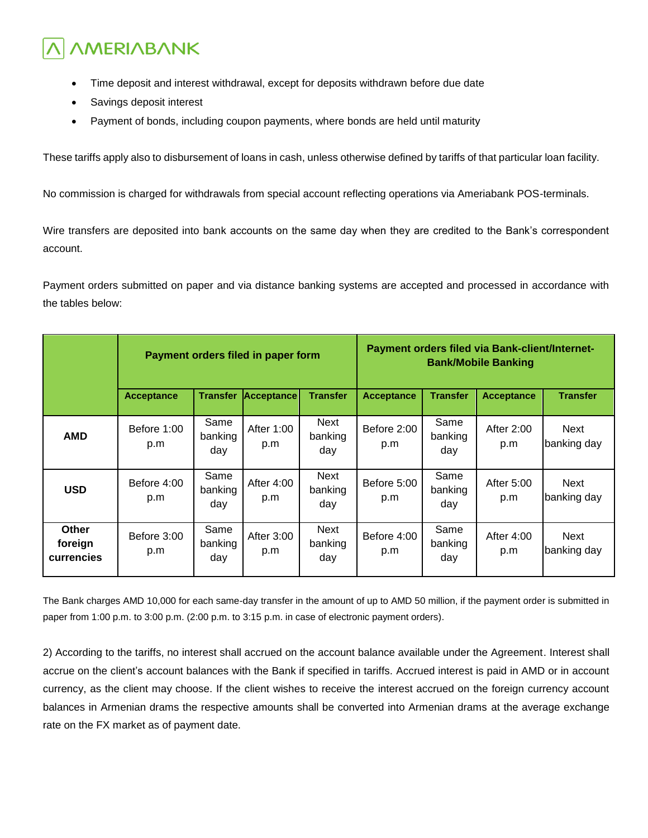- Time deposit and interest withdrawal, except for deposits withdrawn before due date
- Savings deposit interest
- Payment of bonds, including coupon payments, where bonds are held until maturity

These tariffs apply also to disbursement of loans in cash, unless otherwise defined by tariffs of that particular loan facility.

No commission is charged for withdrawals from special account reflecting operations via Ameriabank POS-terminals.

Wire transfers are deposited into bank accounts on the same day when they are credited to the Bank's correspondent account.

Payment orders submitted on paper and via distance banking systems are accepted and processed in accordance with the tables below:

|                                       | Payment orders filed in paper form |                        |                   | Payment orders filed via Bank-client/Internet-<br><b>Bank/Mobile Banking</b> |                    |                        |                   |                            |
|---------------------------------------|------------------------------------|------------------------|-------------------|------------------------------------------------------------------------------|--------------------|------------------------|-------------------|----------------------------|
|                                       | <b>Acceptance</b>                  | <b>Transfer</b>        | Acceptance        | <b>Transfer</b>                                                              | <b>Acceptance</b>  | <b>Transfer</b>        | <b>Acceptance</b> | <b>Transfer</b>            |
| <b>AMD</b>                            | Before 1:00<br>p.m                 | Same<br>banking<br>day | After 1:00<br>p.m | Next<br>banking<br>day                                                       | Before 2:00<br>p.m | Same<br>banking<br>day | After 2:00<br>p.m | Next<br>banking day        |
| <b>USD</b>                            | Before 4:00<br>p.m                 | Same<br>banking<br>day | After 4:00<br>p.m | Next<br>banking<br>day                                                       | Before 5:00<br>p.m | Same<br>banking<br>day | After 5:00<br>p.m | Next<br>banking day        |
| <b>Other</b><br>foreign<br>currencies | Before 3:00<br>p.m                 | Same<br>banking<br>day | After 3:00<br>p.m | Next<br>banking<br>day                                                       | Before 4:00<br>p.m | Same<br>banking<br>day | After 4:00<br>p.m | <b>Next</b><br>banking day |

The Bank charges AMD 10,000 for each same-day transfer in the amount of up to AMD 50 million, if the payment order is submitted in paper from 1:00 p.m. to 3:00 p.m. (2:00 p.m. to 3:15 p.m. in case of electronic payment orders).

2) According to the tariffs, no interest shall accrued on the account balance available under the Agreement. Interest shall accrue on the client's account balances with the Bank if specified in tariffs. Accrued interest is paid in AMD or in account currency, as the client may choose. If the client wishes to receive the interest accrued on the foreign currency account balances in Armenian drams the respective amounts shall be converted into Armenian drams at the average exchange rate on the FX market as of payment date.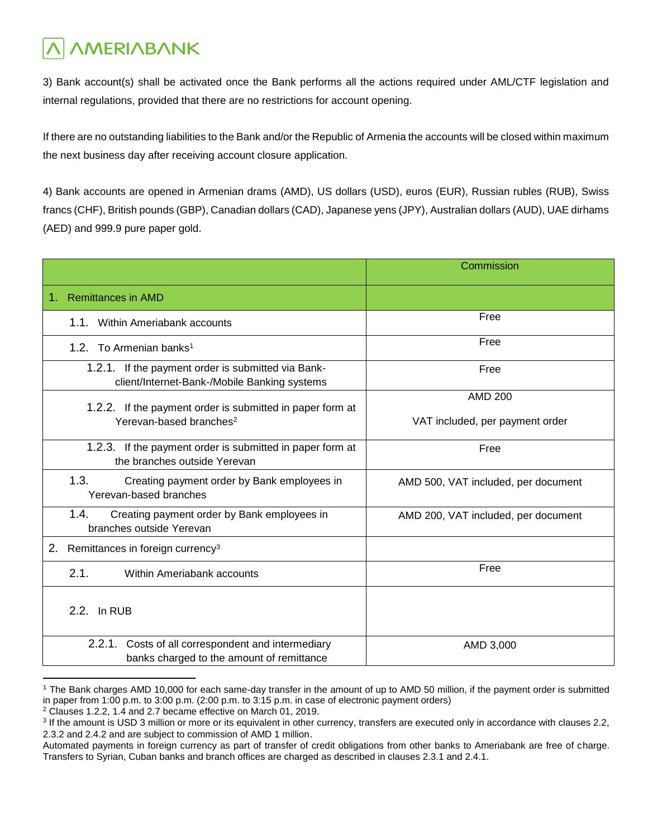3) Bank account(s) shall be activated once the Bank performs all the actions required under AML/CTF legislation and internal regulations, provided that there are no restrictions for account opening.

If there are no outstanding liabilities to the Bank and/or the Republic of Armenia the accounts will be closed within maximum the next business day after receiving account closure application.

4) Bank accounts are opened in Armenian drams (AMD), US dollars (USD), euros (EUR), Russian rubles (RUB), Swiss francs (CHF), British pounds (GBP), Canadian dollars (CAD), Japanese yens (JPY), Australian dollars (AUD), UAE dirhams (AED) and 999.9 pure paper gold.

|                                                                                                    | Commission                          |
|----------------------------------------------------------------------------------------------------|-------------------------------------|
| <b>Remittances in AMD</b><br>1.                                                                    |                                     |
| 1.1. Within Ameriabank accounts                                                                    | Free                                |
| 1.2. To Armenian banks <sup>1</sup>                                                                | Free                                |
| 1.2.1. If the payment order is submitted via Bank-<br>client/Internet-Bank-/Mobile Banking systems | Free                                |
| 1.2.2. If the payment order is submitted in paper form at                                          | <b>AMD 200</b>                      |
| Yerevan-based branches <sup>2</sup>                                                                | VAT included, per payment order     |
| 1.2.3. If the payment order is submitted in paper form at<br>the branches outside Yerevan          | Free                                |
| 1.3.<br>Creating payment order by Bank employees in<br>Yerevan-based branches                      | AMD 500, VAT included, per document |
| 1.4.<br>Creating payment order by Bank employees in<br>branches outside Yerevan                    | AMD 200, VAT included, per document |
| 2.<br>Remittances in foreign currency <sup>3</sup>                                                 |                                     |
| 2.1.<br>Within Ameriabank accounts                                                                 | Free                                |
| 2.2. In RUB                                                                                        |                                     |
| 2.2.1. Costs of all correspondent and intermediary<br>banks charged to the amount of remittance    | AMD 3,000                           |

<sup>1</sup> The Bank charges AMD 10,000 for each same-day transfer in the amount of up to AMD 50 million, if the payment order is submitted in paper from 1:00 p.m. to 3:00 p.m. (2:00 p.m. to 3:15 p.m. in case of electronic payment orders)

 $\overline{a}$ 

<sup>2</sup> Clauses 1.2.2, 1.4 and 2.7 became effective on March 01, 2019.

<sup>&</sup>lt;sup>3</sup> If the amount is USD 3 million or more or its equivalent in other currency, transfers are executed only in accordance with clauses 2.2, 2.3.2 and 2.4.2 and are subject to commission of AMD 1 million.

Automated payments in foreign currency as part of transfer of credit obligations from other banks to Ameriabank are free of charge. Transfers to Syrian, Cuban banks and branch offices are charged as described in clauses 2.3.1 and 2.4.1.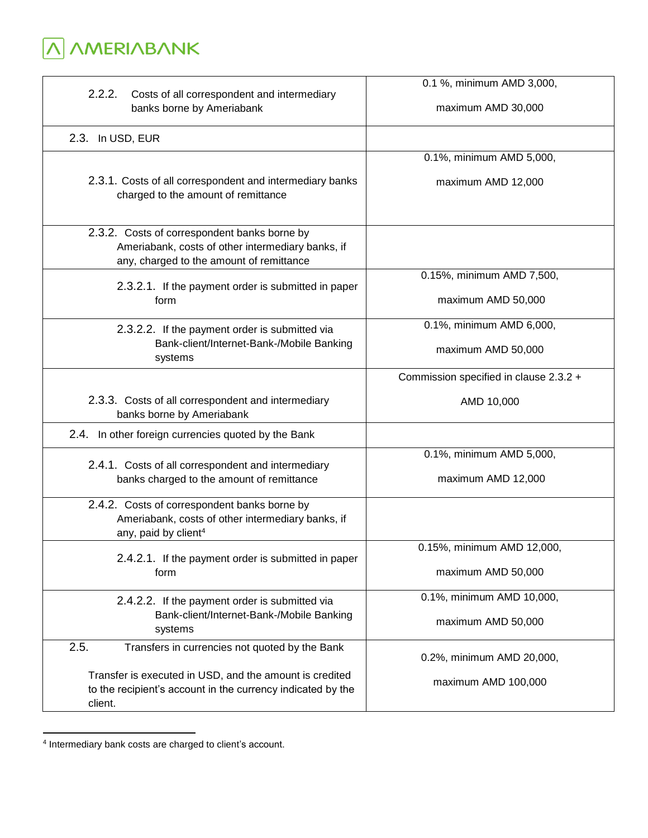**A** AMERIABANK

| 2.2.2.<br>Costs of all correspondent and intermediary<br>banks borne by Ameriabank                                                                                                          | 0.1 %, minimum AMD 3,000,<br>maximum AMD 30,000  |
|---------------------------------------------------------------------------------------------------------------------------------------------------------------------------------------------|--------------------------------------------------|
| 2.3. In USD, EUR                                                                                                                                                                            |                                                  |
| 2.3.1. Costs of all correspondent and intermediary banks<br>charged to the amount of remittance                                                                                             | 0.1%, minimum AMD 5,000,<br>maximum AMD 12,000   |
| 2.3.2. Costs of correspondent banks borne by<br>Ameriabank, costs of other intermediary banks, if<br>any, charged to the amount of remittance                                               |                                                  |
| 2.3.2.1. If the payment order is submitted in paper<br>form                                                                                                                                 | 0.15%, minimum AMD 7,500,<br>maximum AMD 50,000  |
| 2.3.2.2. If the payment order is submitted via<br>Bank-client/Internet-Bank-/Mobile Banking<br>systems                                                                                      | 0.1%, minimum AMD 6,000,<br>maximum AMD 50,000   |
|                                                                                                                                                                                             | Commission specified in clause 2.3.2 +           |
| 2.3.3. Costs of all correspondent and intermediary<br>banks borne by Ameriabank                                                                                                             | AMD 10,000                                       |
| 2.4. In other foreign currencies quoted by the Bank                                                                                                                                         |                                                  |
| 2.4.1. Costs of all correspondent and intermediary<br>banks charged to the amount of remittance                                                                                             | 0.1%, minimum AMD 5,000,<br>maximum AMD 12,000   |
| 2.4.2. Costs of correspondent banks borne by<br>Ameriabank, costs of other intermediary banks, if<br>any, paid by client <sup>4</sup>                                                       |                                                  |
| 2.4.2.1. If the payment order is submitted in paper<br>form                                                                                                                                 | 0.15%, minimum AMD 12,000,<br>maximum AMD 50,000 |
| 2.4.2.2. If the payment order is submitted via<br>Bank-client/Internet-Bank-/Mobile Banking<br>systems                                                                                      | 0.1%, minimum AMD 10,000,<br>maximum AMD 50,000  |
| 2.5.<br>Transfers in currencies not quoted by the Bank<br>Transfer is executed in USD, and the amount is credited<br>to the recipient's account in the currency indicated by the<br>client. | 0.2%, minimum AMD 20,000,<br>maximum AMD 100,000 |

 4 Intermediary bank costs are charged to client's account.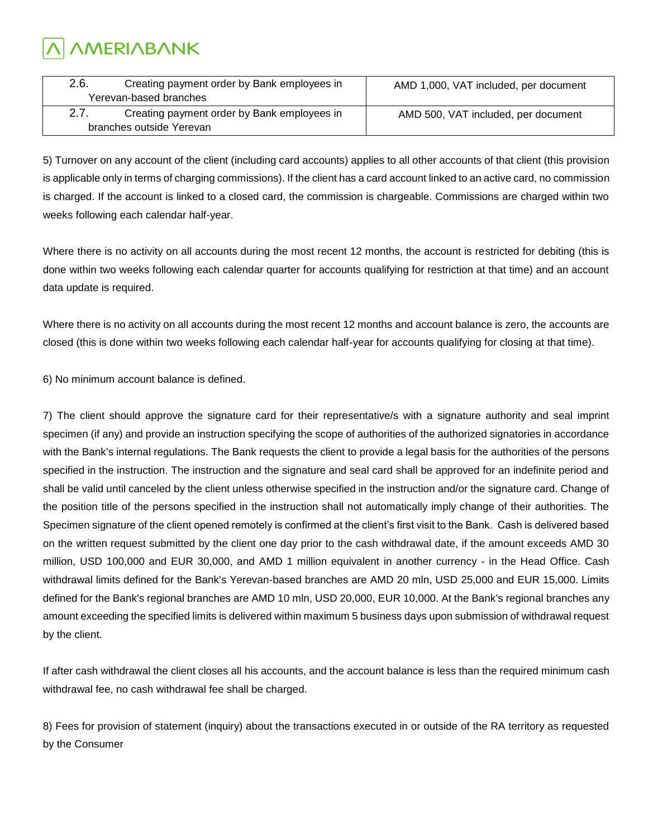| 2.6.                     | Creating payment order by Bank employees in | AMD 1,000, VAT included, per document |  |  |
|--------------------------|---------------------------------------------|---------------------------------------|--|--|
|                          | Yerevan-based branches                      |                                       |  |  |
| 2.7.                     | Creating payment order by Bank employees in | AMD 500, VAT included, per document   |  |  |
| branches outside Yerevan |                                             |                                       |  |  |

5) Turnover on any account of the client (including card accounts) applies to all other accounts of that client (this provision is applicable only in terms of charging commissions). If the client has a card account linked to an active card, no commission is charged. If the account is linked to a closed card, the commission is chargeable. Commissions are charged within two weeks following each calendar half-year.

Where there is no activity on all accounts during the most recent 12 months, the account is restricted for debiting (this is done within two weeks following each calendar quarter for accounts qualifying for restriction at that time) and an account data update is required.

Where there is no activity on all accounts during the most recent 12 months and account balance is zero, the accounts are closed (this is done within two weeks following each calendar half-year for accounts qualifying for closing at that time).

6) No minimum account balance is defined.

7) The client should approve the signature card for their representative/s with a signature authority and seal imprint specimen (if any) and provide an instruction specifying the scope of authorities of the authorized signatories in accordance with the Bank's internal regulations. The Bank requests the client to provide a legal basis for the authorities of the persons specified in the instruction. The instruction and the signature and seal card shall be approved for an indefinite period and shall be valid until canceled by the client unless otherwise specified in the instruction and/or the signature card. Change of the position title of the persons specified in the instruction shall not automatically imply change of their authorities. The Specimen signature of the client opened remotely is confirmed at the client's first visit to the Bank. Cash is delivered based on the written request submitted by the client one day prior to the cash withdrawal date, if the amount exceeds AMD 30 million, USD 100,000 and EUR 30,000, and AMD 1 million equivalent in another currency - in the Head Office. Cash withdrawal limits defined for the Bank's Yerevan-based branches are AMD 20 mln, USD 25,000 and EUR 15,000. Limits defined for the Bank's regional branches are AMD 10 mln, USD 20,000, EUR 10,000. At the Bank's regional branches any amount exceeding the specified limits is delivered within maximum 5 business days upon submission of withdrawal request by the client.

If after cash withdrawal the client closes all his accounts, and the account balance is less than the required minimum cash withdrawal fee, no cash withdrawal fee shall be charged.

8) Fees for provision of statement (inquiry) about the transactions executed in or outside of the RA territory as requested by the Consumer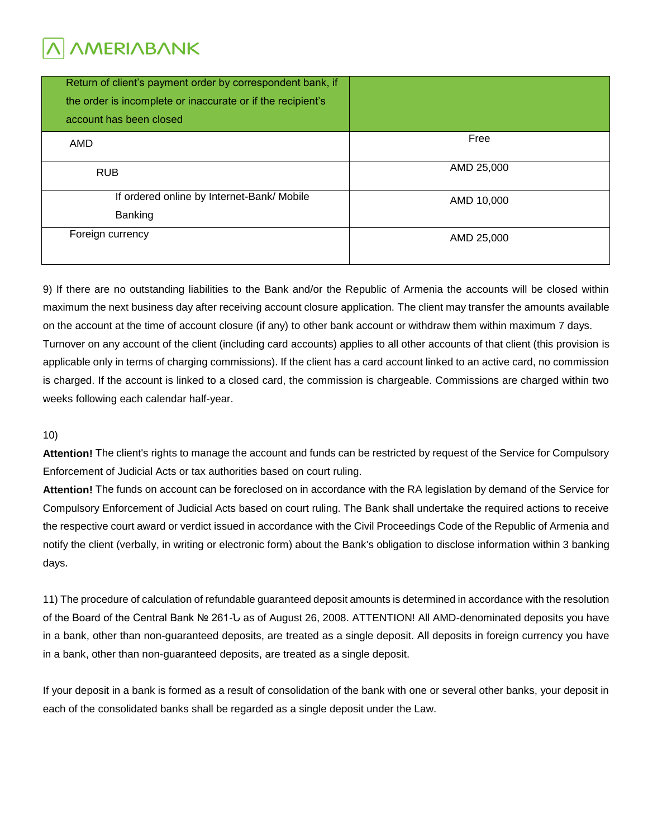| Return of client's payment order by correspondent bank, if<br>the order is incomplete or inaccurate or if the recipient's<br>account has been closed |            |
|------------------------------------------------------------------------------------------------------------------------------------------------------|------------|
| AMD                                                                                                                                                  | Free       |
| <b>RUB</b>                                                                                                                                           | AMD 25,000 |
| If ordered online by Internet-Bank/ Mobile                                                                                                           | AMD 10,000 |
| Banking                                                                                                                                              |            |
| Foreign currency                                                                                                                                     | AMD 25,000 |
|                                                                                                                                                      |            |

9) If there are no outstanding liabilities to the Bank and/or the Republic of Armenia the accounts will be closed within maximum the next business day after receiving account closure application. The client may transfer the amounts available on the account at the time of account closure (if any) to other bank account or withdraw them within maximum 7 days. Turnover on any account of the client (including card accounts) applies to all other accounts of that client (this provision is applicable only in terms of charging commissions). If the client has a card account linked to an active card, no commission is charged. If the account is linked to a closed card, the commission is chargeable. Commissions are charged within two weeks following each calendar half-year.

#### 10)

**Attention!** The client's rights to manage the account and funds can be restricted by request of the Service for Compulsory Enforcement of Judicial Acts or tax authorities based on court ruling.

**Attention!** The funds on account can be foreclosed on in accordance with the RA legislation by demand of the Service for Compulsory Enforcement of Judicial Acts based on court ruling. The Bank shall undertake the required actions to receive the respective court award or verdict issued in accordance with the Civil Proceedings Code of the Republic of Armenia and notify the client (verbally, in writing or electronic form) about the Bank's obligation to disclose information within 3 banking days.

11) The procedure of calculation of refundable guaranteed deposit amounts is determined in accordance with the resolution of the Board of the Central Bank № 261-Ն as of August 26, 2008. ATTENTION! All AMD-denominated deposits you have in a bank, other than non-guaranteed deposits, are treated as a single deposit. All deposits in foreign currency you have in a bank, other than non-guaranteed deposits, are treated as a single deposit.

If your deposit in a bank is formed as a result of consolidation of the bank with one or several other banks, your deposit in each of the consolidated banks shall be regarded as a single deposit under the Law.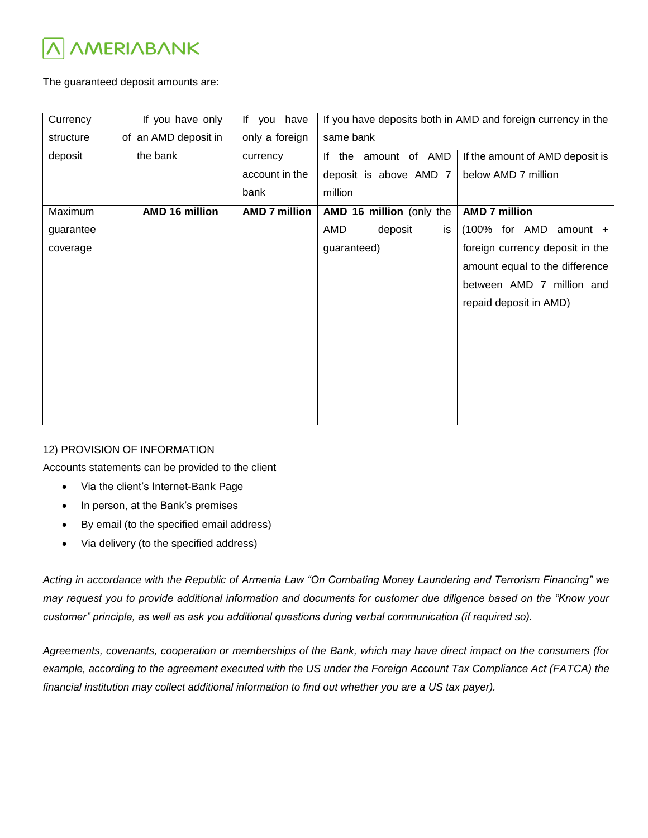

The guaranteed deposit amounts are:

| Currency  | If you have only      | If you have          | If you have deposits both in AMD and foreign currency in the |                                 |  |
|-----------|-----------------------|----------------------|--------------------------------------------------------------|---------------------------------|--|
| structure | of an AMD deposit in  | only a foreign       | same bank                                                    |                                 |  |
| deposit   | the bank              | currency             | If the amount of AMD                                         | If the amount of AMD deposit is |  |
|           |                       | account in the       | deposit is above AMD 7                                       | below AMD 7 million             |  |
|           |                       | bank                 | million                                                      |                                 |  |
| Maximum   | <b>AMD 16 million</b> | <b>AMD 7 million</b> | AMD 16 million (only the                                     | <b>AMD 7 million</b>            |  |
| guarantee |                       |                      | AMD<br>deposit<br>is                                         | (100% for AMD<br>$amount +$     |  |
| coverage  |                       |                      | guaranteed)                                                  | foreign currency deposit in the |  |
|           |                       |                      |                                                              | amount equal to the difference  |  |
|           |                       |                      |                                                              | between AMD 7 million and       |  |
|           |                       |                      |                                                              | repaid deposit in AMD)          |  |
|           |                       |                      |                                                              |                                 |  |
|           |                       |                      |                                                              |                                 |  |
|           |                       |                      |                                                              |                                 |  |
|           |                       |                      |                                                              |                                 |  |
|           |                       |                      |                                                              |                                 |  |
|           |                       |                      |                                                              |                                 |  |

#### 12) PROVISION OF INFORMATION

Accounts statements can be provided to the client

- Via the client's Internet-Bank Page
- In person, at the Bank's premises
- By email (to the specified email address)
- Via delivery (to the specified address)

*Acting in accordance with the Republic of Armenia Law "On Combating Money Laundering and Terrorism Financing" we may request you to provide additional information and documents for customer due diligence based on the "Know your customer" principle, as well as ask you additional questions during verbal communication (if required so).*

*Agreements, covenants, cooperation or memberships of the Bank, which may have direct impact on the consumers (for*  example, according to the agreement executed with the US under the Foreign Account Tax Compliance Act (FATCA) the *financial institution may collect additional information to find out whether you are a US tax payer).*